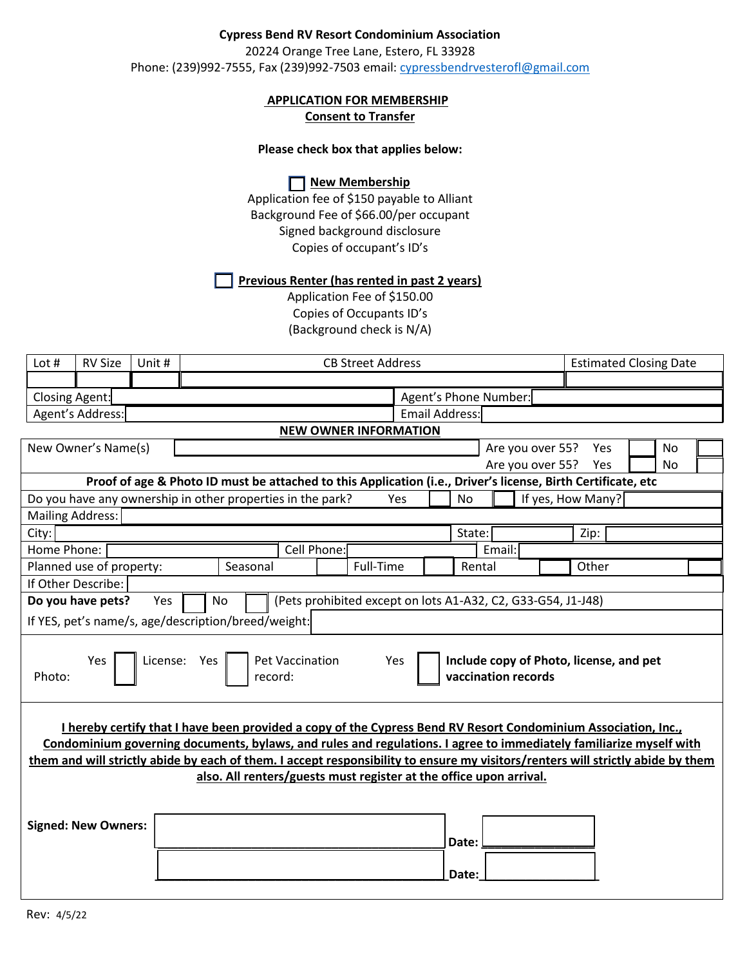## **Cypress Bend RV Resort Condominium Association**

20224 Orange Tree Lane, Estero, FL 33928 Phone: (239)992-7555, Fax (239)992-7503 email: [cypressbendrvesterofl@gmail.com](mailto:cypressbendrvesterofl@gmail.com)

# **APPLICATION FOR MEMBERSHIP**

**Consent to Transfer**

### **Please check box that applies below:**

**New Membership** 

Application fee of \$150 payable to Alliant Background Fee of \$66.00/per occupant Signed background disclosure Copies of occupant's ID's

#### **Previous Renter (has rented in past 2 years)**

Application Fee of \$150.00 Copies of Occupants ID's (Background check is N/A)

| Lot $#$                                                                                                                                                                                                                                                                                                                                                                                                                                       | <b>RV Size</b>                | Unit # | <b>CB Street Address</b>                                   |  |           |                                                                                                              | <b>Estimated Closing Date</b> |                       |                  |       |                   |           |  |
|-----------------------------------------------------------------------------------------------------------------------------------------------------------------------------------------------------------------------------------------------------------------------------------------------------------------------------------------------------------------------------------------------------------------------------------------------|-------------------------------|--------|------------------------------------------------------------|--|-----------|--------------------------------------------------------------------------------------------------------------|-------------------------------|-----------------------|------------------|-------|-------------------|-----------|--|
|                                                                                                                                                                                                                                                                                                                                                                                                                                               |                               |        |                                                            |  |           |                                                                                                              |                               |                       |                  |       |                   |           |  |
| Closing Agent:<br>Agent's Phone Number:                                                                                                                                                                                                                                                                                                                                                                                                       |                               |        |                                                            |  |           |                                                                                                              |                               |                       |                  |       |                   |           |  |
| Agent's Address:                                                                                                                                                                                                                                                                                                                                                                                                                              |                               |        |                                                            |  |           |                                                                                                              |                               | <b>Email Address:</b> |                  |       |                   |           |  |
|                                                                                                                                                                                                                                                                                                                                                                                                                                               |                               |        |                                                            |  |           | <b>NEW OWNER INFORMATION</b>                                                                                 |                               |                       |                  |       |                   |           |  |
|                                                                                                                                                                                                                                                                                                                                                                                                                                               | New Owner's Name(s)           |        |                                                            |  |           |                                                                                                              |                               |                       | Are you over 55? |       | Yes               | <b>No</b> |  |
|                                                                                                                                                                                                                                                                                                                                                                                                                                               | Are you over 55?<br>Yes<br>No |        |                                                            |  |           |                                                                                                              |                               |                       |                  |       |                   |           |  |
|                                                                                                                                                                                                                                                                                                                                                                                                                                               |                               |        |                                                            |  |           | Proof of age & Photo ID must be attached to this Application (i.e., Driver's license, Birth Certificate, etc |                               |                       |                  |       |                   |           |  |
|                                                                                                                                                                                                                                                                                                                                                                                                                                               |                               |        | Do you have any ownership in other properties in the park? |  |           | <b>Yes</b>                                                                                                   |                               | No                    |                  |       | If yes, How Many? |           |  |
|                                                                                                                                                                                                                                                                                                                                                                                                                                               | <b>Mailing Address:</b>       |        |                                                            |  |           |                                                                                                              |                               |                       |                  |       |                   |           |  |
| City:                                                                                                                                                                                                                                                                                                                                                                                                                                         |                               |        |                                                            |  |           |                                                                                                              |                               | State:                |                  |       | Zip:              |           |  |
| Home Phone:                                                                                                                                                                                                                                                                                                                                                                                                                                   |                               |        | Cell Phone:                                                |  |           | Email:                                                                                                       |                               |                       |                  |       |                   |           |  |
| Planned use of property:<br>Seasonal                                                                                                                                                                                                                                                                                                                                                                                                          |                               |        |                                                            |  | Full-Time |                                                                                                              | Rental                        |                       |                  | Other |                   |           |  |
|                                                                                                                                                                                                                                                                                                                                                                                                                                               | If Other Describe:            |        |                                                            |  |           |                                                                                                              |                               |                       |                  |       |                   |           |  |
|                                                                                                                                                                                                                                                                                                                                                                                                                                               | Do you have pets?             | Yes    | No                                                         |  |           | (Pets prohibited except on lots A1-A32, C2, G33-G54, J1-J48)                                                 |                               |                       |                  |       |                   |           |  |
|                                                                                                                                                                                                                                                                                                                                                                                                                                               |                               |        | If YES, pet's name/s, age/description/breed/weight:        |  |           |                                                                                                              |                               |                       |                  |       |                   |           |  |
| License: Yes<br><b>Pet Vaccination</b><br>Include copy of Photo, license, and pet<br>Yes<br>Yes<br>Photo:<br>vaccination records<br>record:                                                                                                                                                                                                                                                                                                   |                               |        |                                                            |  |           |                                                                                                              |                               |                       |                  |       |                   |           |  |
| I hereby certify that I have been provided a copy of the Cypress Bend RV Resort Condominium Association, Inc.,<br>Condominium governing documents, bylaws, and rules and regulations. I agree to immediately familiarize myself with<br>them and will strictly abide by each of them. I accept responsibility to ensure my visitors/renters will strictly abide by them<br>also. All renters/guests must register at the office upon arrival. |                               |        |                                                            |  |           |                                                                                                              |                               |                       |                  |       |                   |           |  |
|                                                                                                                                                                                                                                                                                                                                                                                                                                               | <b>Signed: New Owners:</b>    |        |                                                            |  |           |                                                                                                              |                               | Date:<br>Date:        |                  |       |                   |           |  |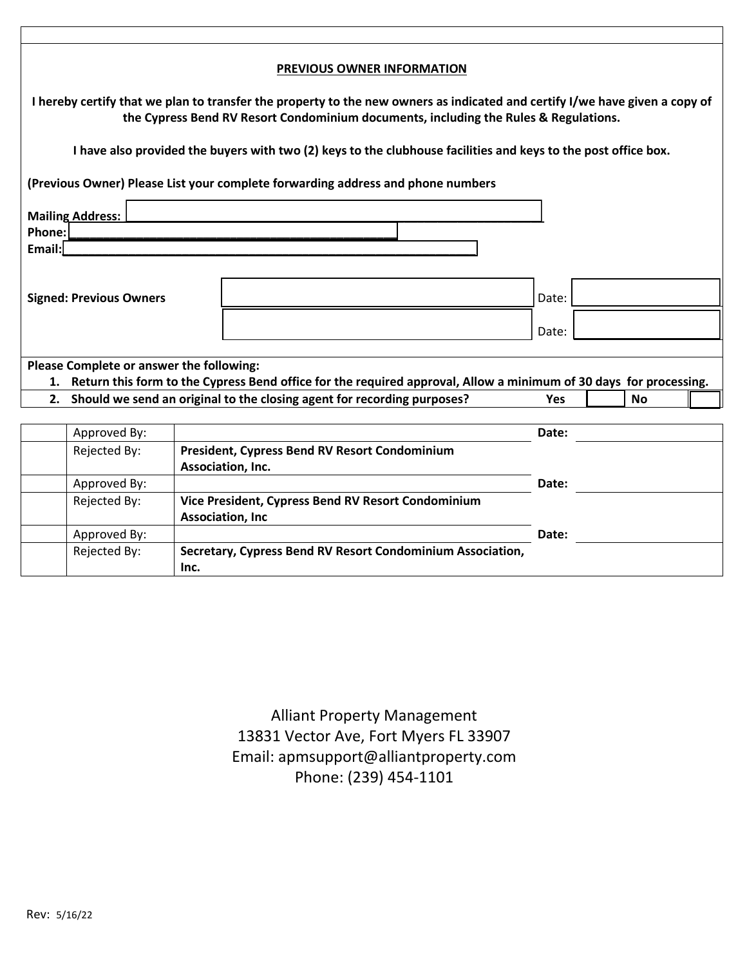| PREVIOUS OWNER INFORMATION                                                                                                                                                                                          |                                          |  |                                                                                                                   |            |  |           |  |
|---------------------------------------------------------------------------------------------------------------------------------------------------------------------------------------------------------------------|------------------------------------------|--|-------------------------------------------------------------------------------------------------------------------|------------|--|-----------|--|
| I hereby certify that we plan to transfer the property to the new owners as indicated and certify I/we have given a copy of<br>the Cypress Bend RV Resort Condominium documents, including the Rules & Regulations. |                                          |  |                                                                                                                   |            |  |           |  |
|                                                                                                                                                                                                                     |                                          |  | I have also provided the buyers with two (2) keys to the clubhouse facilities and keys to the post office box.    |            |  |           |  |
|                                                                                                                                                                                                                     |                                          |  | (Previous Owner) Please List your complete forwarding address and phone numbers                                   |            |  |           |  |
| <b>Mailing Address:</b>                                                                                                                                                                                             |                                          |  |                                                                                                                   |            |  |           |  |
| Phone:<br>Email:                                                                                                                                                                                                    |                                          |  |                                                                                                                   |            |  |           |  |
|                                                                                                                                                                                                                     |                                          |  |                                                                                                                   |            |  |           |  |
|                                                                                                                                                                                                                     | <b>Signed: Previous Owners</b>           |  |                                                                                                                   | Date:      |  |           |  |
|                                                                                                                                                                                                                     |                                          |  |                                                                                                                   |            |  |           |  |
| Date:                                                                                                                                                                                                               |                                          |  |                                                                                                                   |            |  |           |  |
|                                                                                                                                                                                                                     | Please Complete or answer the following: |  |                                                                                                                   |            |  |           |  |
| 1.                                                                                                                                                                                                                  |                                          |  | Return this form to the Cypress Bend office for the required approval, Allow a minimum of 30 days for processing. |            |  |           |  |
| 2.                                                                                                                                                                                                                  |                                          |  | Should we send an original to the closing agent for recording purposes?                                           | <b>Yes</b> |  | <b>No</b> |  |
|                                                                                                                                                                                                                     |                                          |  |                                                                                                                   |            |  |           |  |
|                                                                                                                                                                                                                     | Approved By:                             |  |                                                                                                                   | Date:      |  |           |  |
|                                                                                                                                                                                                                     | Rejected By:                             |  | <b>President, Cypress Bend RV Resort Condominium</b>                                                              |            |  |           |  |
|                                                                                                                                                                                                                     |                                          |  | Accociation Inc.                                                                                                  |            |  |           |  |

|              | Association, Inc.                                          |       |
|--------------|------------------------------------------------------------|-------|
| Approved By: |                                                            | Date: |
| Rejected By: | Vice President, Cypress Bend RV Resort Condominium         |       |
|              | <b>Association, Inc</b>                                    |       |
| Approved By: |                                                            | Date: |
| Rejected By: | Secretary, Cypress Bend RV Resort Condominium Association, |       |
|              | Inc.                                                       |       |

Alliant Property Management 13831 Vector Ave, Fort Myers FL 33907 Email: apmsupport@alliantproperty.com Phone: (239) 454-1101

 $\mathsf I$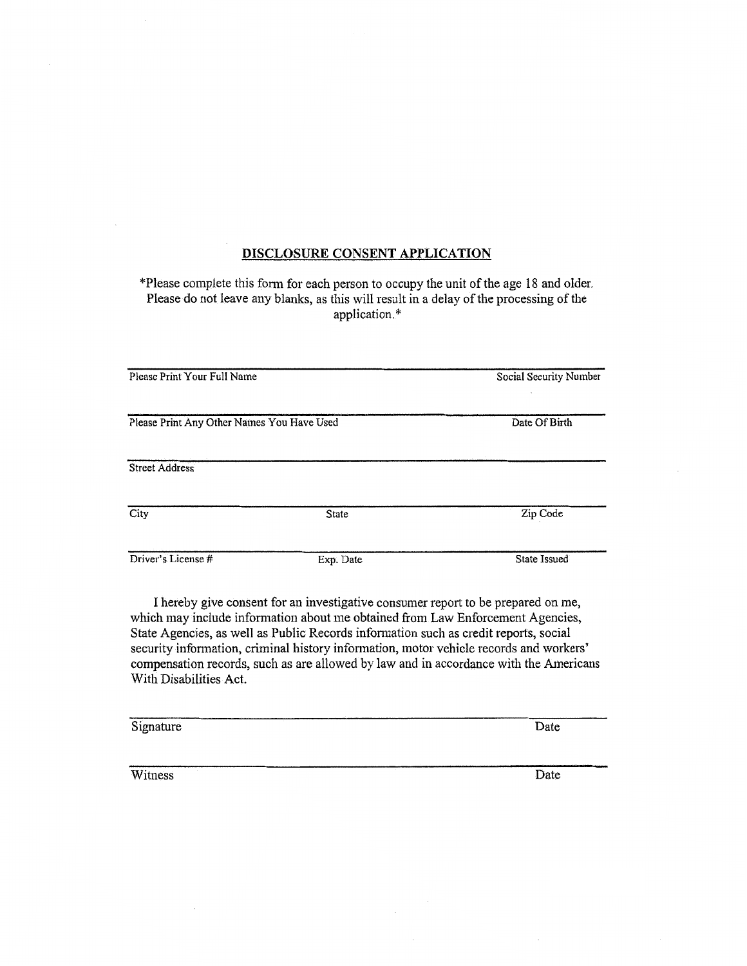#### DISCLOSURE CONSENT APPLICATION

\*Please complete this form for each person to occupy the unit of the age 18 and older. Please do not leave any blanks, as this will result in a delay of the processing of the application.\*

| Please Print Your Full Name                | Social Security Number |               |  |
|--------------------------------------------|------------------------|---------------|--|
| Please Print Any Other Names You Have Used |                        | Date Of Birth |  |
|                                            |                        |               |  |
| <b>Street Address</b>                      |                        |               |  |
| City                                       | State                  | Zip Code      |  |
| Driver's License #                         | Exp. Date              | State Issued  |  |

I hereby give consent for an investigative consumer report to be prepared on me, which may include information about me obtained from Law Enforcement Agencies, State Agencies, as well as Public Records information such as credit reports, social security information, criminal history information, motor vehicle records and workers' compensation records, such as are allowed by law and in accordance with the Americans With Disabilities Act.

| Signature | Date |
|-----------|------|
|           |      |
| Witness   | Date |